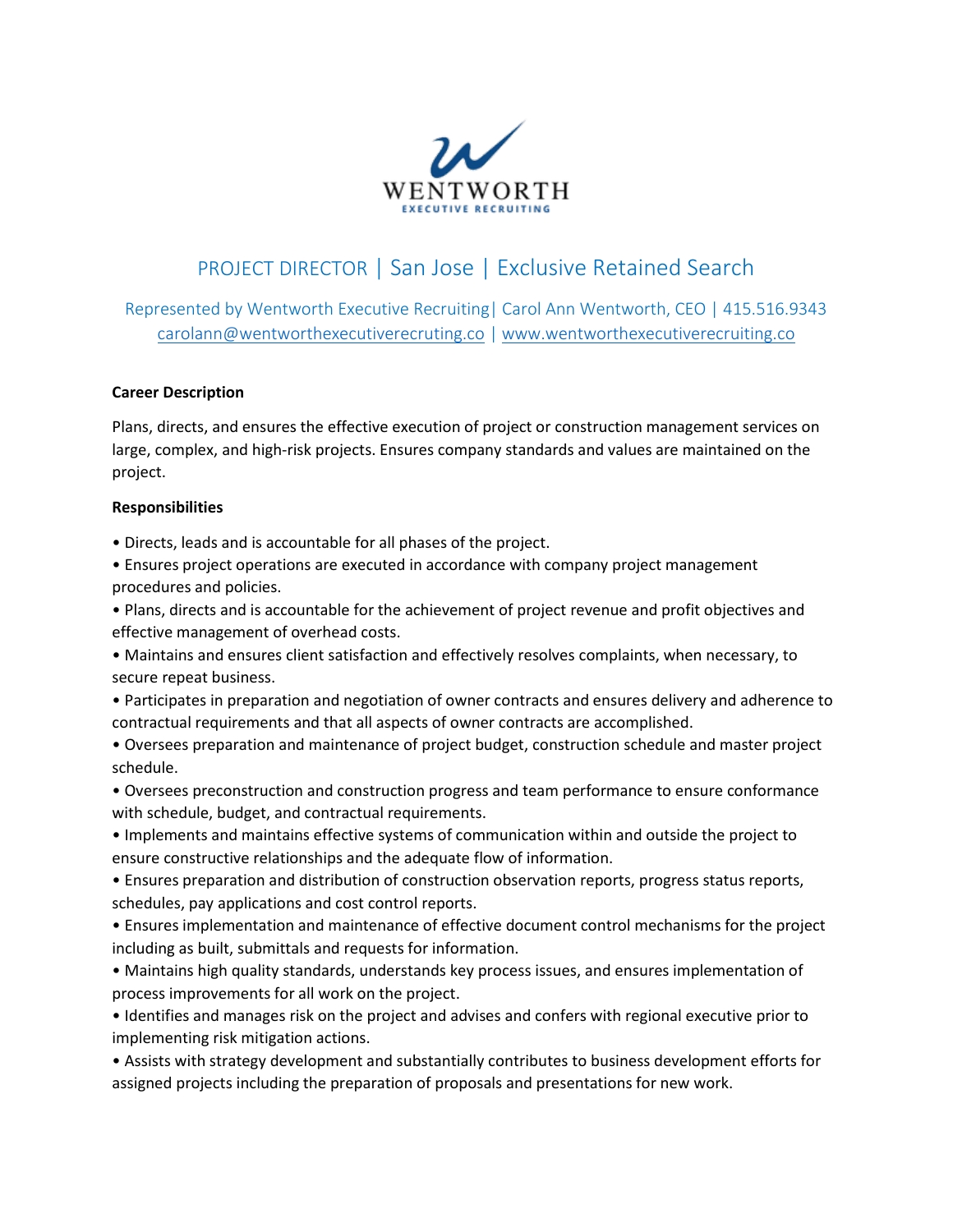

# PROJECT DIRECTOR | San Jose | Exclusive Retained Search

Represented by Wentworth Executive Recruiting| Carol Ann Wentworth, CEO | 415.516.9343 [carolann@wentworthexecutiverecruting.co](mailto:carolann@wentworthexecutiverecruting.co) | [www.wentworthexecutiverecruiting.co](http://www.wentworthexecutiverecruiting.co/)

### **Career Description**

Plans, directs, and ensures the effective execution of project or construction management services on large, complex, and high-risk projects. Ensures company standards and values are maintained on the project.

#### **Responsibilities**

• Directs, leads and is accountable for all phases of the project.

• Ensures project operations are executed in accordance with company project management procedures and policies.

• Plans, directs and is accountable for the achievement of project revenue and profit objectives and effective management of overhead costs.

• Maintains and ensures client satisfaction and effectively resolves complaints, when necessary, to secure repeat business.

• Participates in preparation and negotiation of owner contracts and ensures delivery and adherence to contractual requirements and that all aspects of owner contracts are accomplished.

• Oversees preparation and maintenance of project budget, construction schedule and master project schedule.

• Oversees preconstruction and construction progress and team performance to ensure conformance with schedule, budget, and contractual requirements.

• Implements and maintains effective systems of communication within and outside the project to ensure constructive relationships and the adequate flow of information.

• Ensures preparation and distribution of construction observation reports, progress status reports, schedules, pay applications and cost control reports.

• Ensures implementation and maintenance of effective document control mechanisms for the project including as built, submittals and requests for information.

• Maintains high quality standards, understands key process issues, and ensures implementation of process improvements for all work on the project.

• Identifies and manages risk on the project and advises and confers with regional executive prior to implementing risk mitigation actions.

• Assists with strategy development and substantially contributes to business development efforts for assigned projects including the preparation of proposals and presentations for new work.